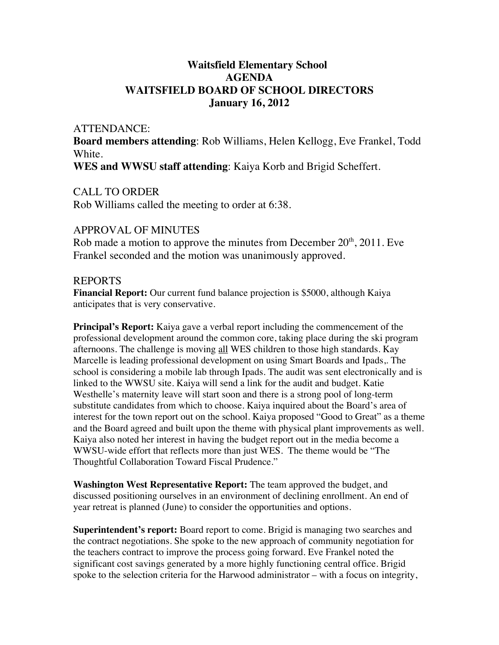# **Waitsfield Elementary School AGENDA WAITSFIELD BOARD OF SCHOOL DIRECTORS January 16, 2012**

#### ATTENDANCE:

**Board members attending**: Rob Williams, Helen Kellogg, Eve Frankel, Todd White.

**WES and WWSU staff attending**: Kaiya Korb and Brigid Scheffert.

### CALL TO ORDER

Rob Williams called the meeting to order at 6:38.

# APPROVAL OF MINUTES

Rob made a motion to approve the minutes from December  $20<sup>th</sup>$ ,  $2011$ . Eve Frankel seconded and the motion was unanimously approved.

## REPORTS

**Financial Report:** Our current fund balance projection is \$5000, although Kaiya anticipates that is very conservative.

**Principal's Report:** Kaiya gave a verbal report including the commencement of the professional development around the common core, taking place during the ski program afternoons. The challenge is moving all WES children to those high standards. Kay Marcelle is leading professional development on using Smart Boards and Ipads,. The school is considering a mobile lab through Ipads. The audit was sent electronically and is linked to the WWSU site. Kaiya will send a link for the audit and budget. Katie Westhelle's maternity leave will start soon and there is a strong pool of long-term substitute candidates from which to choose. Kaiya inquired about the Board's area of interest for the town report out on the school. Kaiya proposed "Good to Great" as a theme and the Board agreed and built upon the theme with physical plant improvements as well. Kaiya also noted her interest in having the budget report out in the media become a WWSU-wide effort that reflects more than just WES. The theme would be "The Thoughtful Collaboration Toward Fiscal Prudence."

**Washington West Representative Report:** The team approved the budget, and discussed positioning ourselves in an environment of declining enrollment. An end of year retreat is planned (June) to consider the opportunities and options.

**Superintendent's report:** Board report to come. Brigid is managing two searches and the contract negotiations. She spoke to the new approach of community negotiation for the teachers contract to improve the process going forward. Eve Frankel noted the significant cost savings generated by a more highly functioning central office. Brigid spoke to the selection criteria for the Harwood administrator – with a focus on integrity,